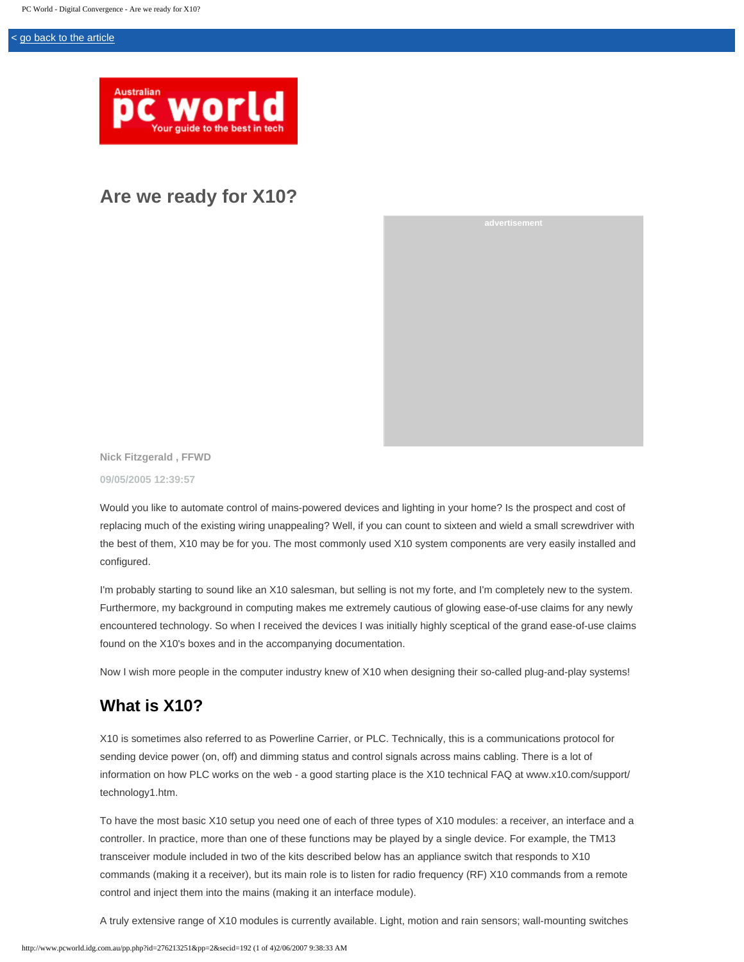#### < [go back to the article](javascript:history.back())



# **Are we ready for X10?**

**Nick Fitzgerald , FFWD 09/05/2005 12:39:57**

Would you like to automate control of mains-powered devices and lighting in your home? Is the prospect and cost of replacing much of the existing wiring unappealing? Well, if you can count to sixteen and wield a small screwdriver with the best of them, X10 may be for you. The most commonly used X10 system components are very easily installed and configured.

I'm probably starting to sound like an X10 salesman, but selling is not my forte, and I'm completely new to the system. Furthermore, my background in computing makes me extremely cautious of glowing ease-of-use claims for any newly encountered technology. So when I received the devices I was initially highly sceptical of the grand ease-of-use claims found on the X10's boxes and in the accompanying documentation.

Now I wish more people in the computer industry knew of X10 when designing their so-called plug-and-play systems!

## **What is X10?**

X10 is sometimes also referred to as Powerline Carrier, or PLC. Technically, this is a communications protocol for sending device power (on, off) and dimming status and control signals across mains cabling. There is a lot of information on how PLC works on the web - a good starting place is the X10 technical FAQ at www.x10.com/support/ technology1.htm.

To have the most basic X10 setup you need one of each of three types of X10 modules: a receiver, an interface and a controller. In practice, more than one of these functions may be played by a single device. For example, the TM13 transceiver module included in two of the kits described below has an appliance switch that responds to X10 commands (making it a receiver), but its main role is to listen for radio frequency (RF) X10 commands from a remote control and inject them into the mains (making it an interface module).

A truly extensive range of X10 modules is currently available. Light, motion and rain sensors; wall-mounting switches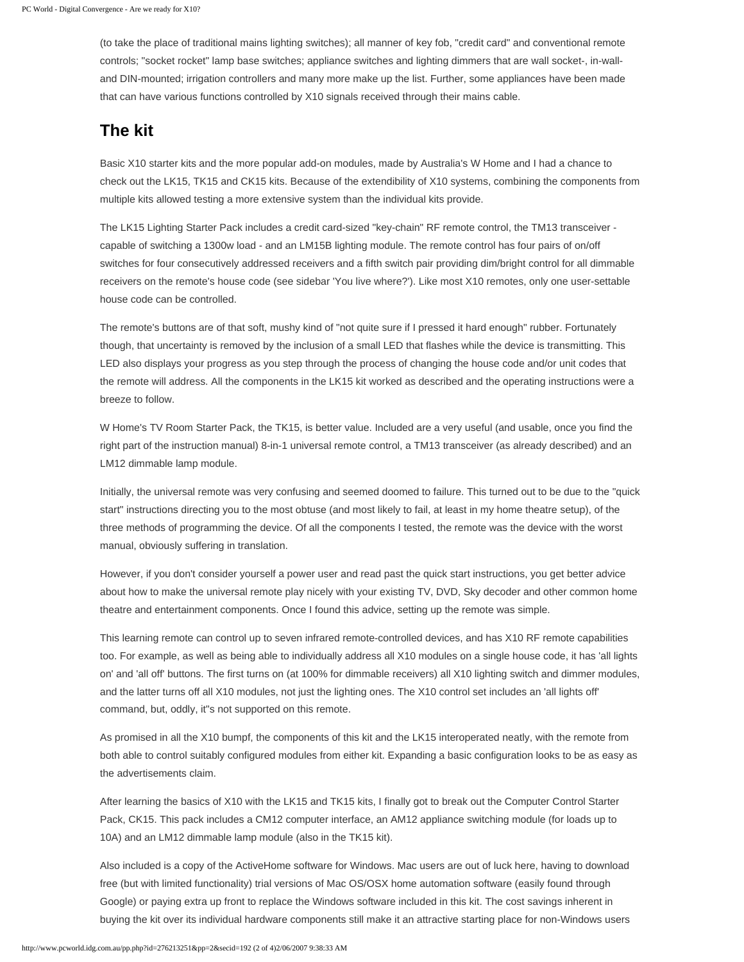(to take the place of traditional mains lighting switches); all manner of key fob, "credit card" and conventional remote controls; "socket rocket" lamp base switches; appliance switches and lighting dimmers that are wall socket-, in-walland DIN-mounted; irrigation controllers and many more make up the list. Further, some appliances have been made that can have various functions controlled by X10 signals received through their mains cable.

## **The kit**

Basic X10 starter kits and the more popular add-on modules, made by Australia's W Home and I had a chance to check out the LK15, TK15 and CK15 kits. Because of the extendibility of X10 systems, combining the components from multiple kits allowed testing a more extensive system than the individual kits provide.

The LK15 Lighting Starter Pack includes a credit card-sized "key-chain" RF remote control, the TM13 transceiver capable of switching a 1300w load - and an LM15B lighting module. The remote control has four pairs of on/off switches for four consecutively addressed receivers and a fifth switch pair providing dim/bright control for all dimmable receivers on the remote's house code (see sidebar 'You live where?'). Like most X10 remotes, only one user-settable house code can be controlled.

The remote's buttons are of that soft, mushy kind of "not quite sure if I pressed it hard enough" rubber. Fortunately though, that uncertainty is removed by the inclusion of a small LED that flashes while the device is transmitting. This LED also displays your progress as you step through the process of changing the house code and/or unit codes that the remote will address. All the components in the LK15 kit worked as described and the operating instructions were a breeze to follow.

W Home's TV Room Starter Pack, the TK15, is better value. Included are a very useful (and usable, once you find the right part of the instruction manual) 8-in-1 universal remote control, a TM13 transceiver (as already described) and an LM12 dimmable lamp module.

Initially, the universal remote was very confusing and seemed doomed to failure. This turned out to be due to the "quick start" instructions directing you to the most obtuse (and most likely to fail, at least in my home theatre setup), of the three methods of programming the device. Of all the components I tested, the remote was the device with the worst manual, obviously suffering in translation.

However, if you don't consider yourself a power user and read past the quick start instructions, you get better advice about how to make the universal remote play nicely with your existing TV, DVD, Sky decoder and other common home theatre and entertainment components. Once I found this advice, setting up the remote was simple.

This learning remote can control up to seven infrared remote-controlled devices, and has X10 RF remote capabilities too. For example, as well as being able to individually address all X10 modules on a single house code, it has 'all lights on' and 'all off' buttons. The first turns on (at 100% for dimmable receivers) all X10 lighting switch and dimmer modules, and the latter turns off all X10 modules, not just the lighting ones. The X10 control set includes an 'all lights off' command, but, oddly, it"s not supported on this remote.

As promised in all the X10 bumpf, the components of this kit and the LK15 interoperated neatly, with the remote from both able to control suitably configured modules from either kit. Expanding a basic configuration looks to be as easy as the advertisements claim.

After learning the basics of X10 with the LK15 and TK15 kits, I finally got to break out the Computer Control Starter Pack, CK15. This pack includes a CM12 computer interface, an AM12 appliance switching module (for loads up to 10A) and an LM12 dimmable lamp module (also in the TK15 kit).

Also included is a copy of the ActiveHome software for Windows. Mac users are out of luck here, having to download free (but with limited functionality) trial versions of Mac OS/OSX home automation software (easily found through Google) or paying extra up front to replace the Windows software included in this kit. The cost savings inherent in buying the kit over its individual hardware components still make it an attractive starting place for non-Windows users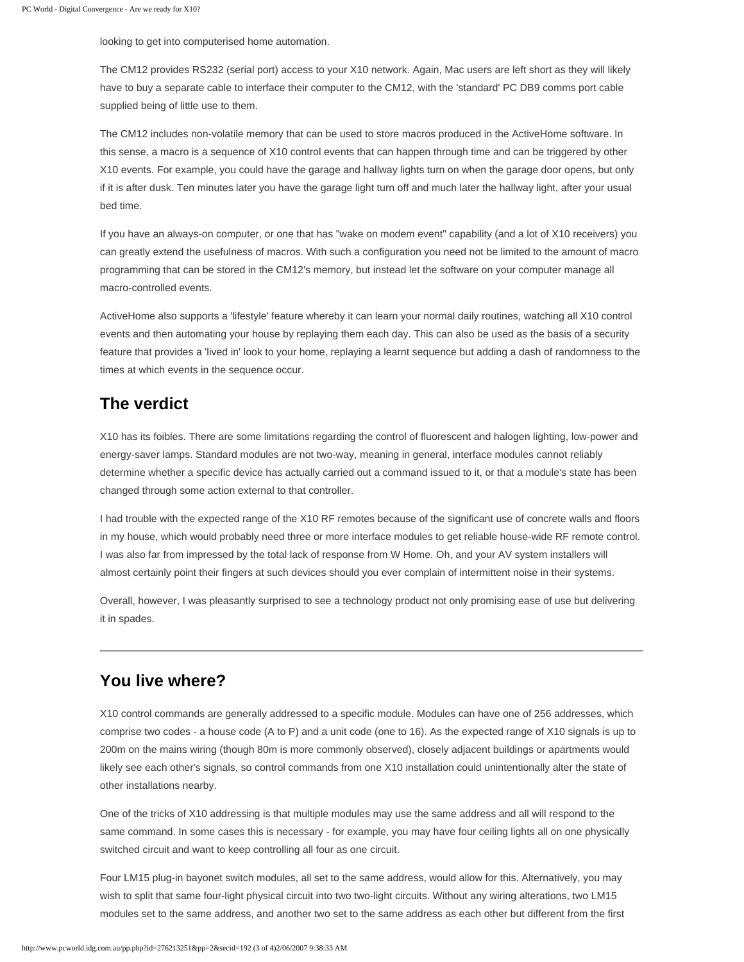looking to get into computerised home automation.

The CM12 provides RS232 (serial port) access to your X10 network. Again, Mac users are left short as they will likely have to buy a separate cable to interface their computer to the CM12, with the 'standard' PC DB9 comms port cable supplied being of little use to them.

The CM12 includes non-volatile memory that can be used to store macros produced in the ActiveHome software. In this sense, a macro is a sequence of X10 control events that can happen through time and can be triggered by other X10 events. For example, you could have the garage and hallway lights turn on when the garage door opens, but only if it is after dusk. Ten minutes later you have the garage light turn off and much later the hallway light, after your usual bed time.

If you have an always-on computer, or one that has "wake on modem event" capability (and a lot of X10 receivers) you can greatly extend the usefulness of macros. With such a configuration you need not be limited to the amount of macro programming that can be stored in the CM12's memory, but instead let the software on your computer manage all macro-controlled events.

ActiveHome also supports a 'lifestyle' feature whereby it can learn your normal daily routines, watching all X10 control events and then automating your house by replaying them each day. This can also be used as the basis of a security feature that provides a 'lived in' look to your home, replaying a learnt sequence but adding a dash of randomness to the times at which events in the sequence occur.

### **The verdict**

X10 has its foibles. There are some limitations regarding the control of fluorescent and halogen lighting, low-power and energy-saver lamps. Standard modules are not two-way, meaning in general, interface modules cannot reliably determine whether a specific device has actually carried out a command issued to it, or that a module's state has been changed through some action external to that controller.

I had trouble with the expected range of the X10 RF remotes because of the significant use of concrete walls and floors in my house, which would probably need three or more interface modules to get reliable house-wide RF remote control. I was also far from impressed by the total lack of response from W Home. Oh, and your AV system installers will almost certainly point their fingers at such devices should you ever complain of intermittent noise in their systems.

Overall, however, I was pleasantly surprised to see a technology product not only promising ease of use but delivering it in spades.

#### **You live where?**

X10 control commands are generally addressed to a specific module. Modules can have one of 256 addresses, which comprise two codes - a house code (A to P) and a unit code (one to 16). As the expected range of X10 signals is up to 200m on the mains wiring (though 80m is more commonly observed), closely adjacent buildings or apartments would likely see each other's signals, so control commands from one X10 installation could unintentionally alter the state of other installations nearby.

One of the tricks of X10 addressing is that multiple modules may use the same address and all will respond to the same command. In some cases this is necessary - for example, you may have four ceiling lights all on one physically switched circuit and want to keep controlling all four as one circuit.

Four LM15 plug-in bayonet switch modules, all set to the same address, would allow for this. Alternatively, you may wish to split that same four-light physical circuit into two two-light circuits. Without any wiring alterations, two LM15 modules set to the same address, and another two set to the same address as each other but different from the first